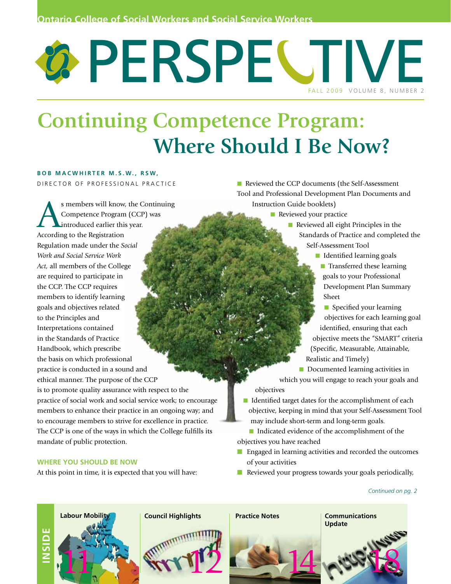# PERSPECTIVE FALL 2009 VOLUME 8, NUMBER 2

## **Continuing Competence Program: Where Should I Be Now?**

#### **B o b M a c W h i r t e r M . S . W. , R S W,**  D I RECTOR OF PROFESSIONAL PRACTICE

S members will know, the Continuing<br>
Competence Program (CCP) was<br>
According to the Pegietration Competence Program (CCP) was introduced earlier this year. According to the Registration Regulation made under the *Social Work and Social Service Work Act,* all members of the College are required to participate in the CCP. The CCP requires members to identify learning goals and objectives related to the Principles and Interpretations contained in the Standards of Practice Handbook, which prescribe the basis on which professional practice is conducted in a sound and ethical manner. The purpose of the CCP is to promote quality assurance with respect to the practice of social work and social service work; to encourage members to enhance their practice in an ongoing way; and to encourage members to strive for excellence in practice. The CCP is one of the ways in which the College fulfills its mandate of public protection.

#### **WHERE YOU SHOULD BE NOW**

**INSID**

**E**

At this point in time, it is expected that you will have:

- Reviewed the CCP documents (the Self-Assessment Tool and Professional Development Plan Documents and Instruction Guide booklets)
	- **n** Reviewed your practice
		- $\blacksquare$  Reviewed all eight Principles in the Standards of Practice and completed the Self-Assessment Tool
			- **n** Identified learning goals
			- **n** Transferred these learning goals to your Professional Development Plan Summary Sheet
			- **n** Specified your learning objectives for each learning goal identified, ensuring that each objective meets the "SMART" criteria (Specific, Measurable, Attainable, Realistic and Timely)
	- **n** Documented learning activities in which you will engage to reach your goals and objectives
	- $\blacksquare$  Identified target dates for the accomplishment of each objective, keeping in mind that your Self-Assessment Tool may include short-term and long-term goals.
- Indicated evidence of the accomplishment of the objectives you have reached
- Engaged in learning activities and recorded the outcomes of your activities
- Reviewed your progress towards your goals periodically,

#### *Continued on pg. 2*



**Update** 14 rue 18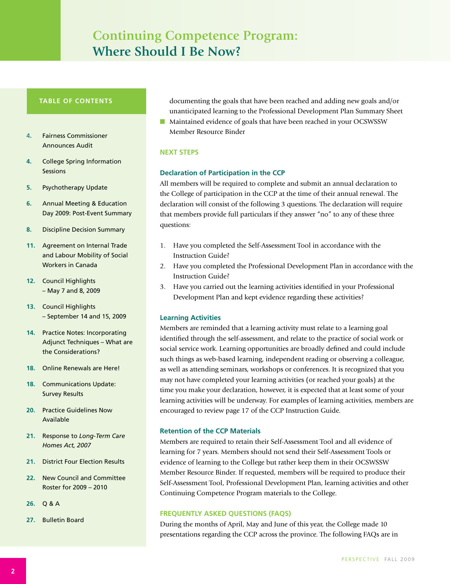## **Continuing Competence Program: Where Should I Be Now?**

#### **TABLE OF CONTENTS**

- 4**.** Fairness Commissioner Announces Audit
- **4.** College Spring Information **Sessions**
- **5.** Psychotherapy Update
- **6.** Annual Meeting & Education Day 2009: Post-Event Summary
- **8.** Discipline Decision Summary
- **11.** Agreement on Internal Trade and Labour Mobility of Social Workers in Canada
- **12.** Council Highlights – May 7 and 8, 2009
- **13.** Council Highlights – September 14 and 15, 2009
- **14.** Practice Notes: Incorporating Adjunct Techniques – What are the Considerations?
- **18.** Online Renewals are Here!
- **18.** Communications Update: Survey Results
- **20.** Practice Guidelines Now Available
- **21.** Response to *Long-Term Care Homes Act, 2007*
- **21.** District Four Election Results
- **22.** New Council and Committee Roster for 2009 – 2010
- **26.** Q & A
- **27.** Bulletin Board

documenting the goals that have been reached and adding new goals and/or unanticipated learning to the Professional Development Plan Summary Sheet

■ Maintained evidence of goals that have been reached in your OCSWSSW Member Resource Binder

#### **NEXT STEPS**

#### **Declaration of Participation in the CCP**

All members will be required to complete and submit an annual declaration to the College of participation in the CCP at the time of their annual renewal. The declaration will consist of the following 3 questions. The declaration will require that members provide full particulars if they answer "no" to any of these three questions:

- 1. Have you completed the Self-Assessment Tool in accordance with the Instruction Guide?
- 2. Have you completed the Professional Development Plan in accordance with the Instruction Guide?
- 3. Have you carried out the learning activities identified in your Professional Development Plan and kept evidence regarding these activities?

#### **Learning Activities**

Members are reminded that a learning activity must relate to a learning goal identified through the self-assessment, and relate to the practice of social work or social service work. Learning opportunities are broadly defined and could include such things as web-based learning, independent reading or observing a colleague, as well as attending seminars, workshops or conferences. It is recognized that you may not have completed your learning activities (or reached your goals) at the time you make your declaration, however, it is expected that at least some of your learning activities will be underway. For examples of learning activities, members are encouraged to review page 17 of the CCP Instruction Guide.

#### **Retention of the CCP Materials**

Members are required to retain their Self-Assessment Tool and all evidence of learning for 7 years. Members should not send their Self-Assessment Tools or evidence of learning to the College but rather keep them in their OCSWSSW Member Resource Binder. If requested, members will be required to produce their Self-Assessment Tool, Professional Development Plan, learning activities and other Continuing Competence Program materials to the College.

#### **FREQUENTLY ASKED QUESTIONS (FAQs)**

During the months of April, May and June of this year, the College made 10 presentations regarding the CCP across the province. The following FAQs are in